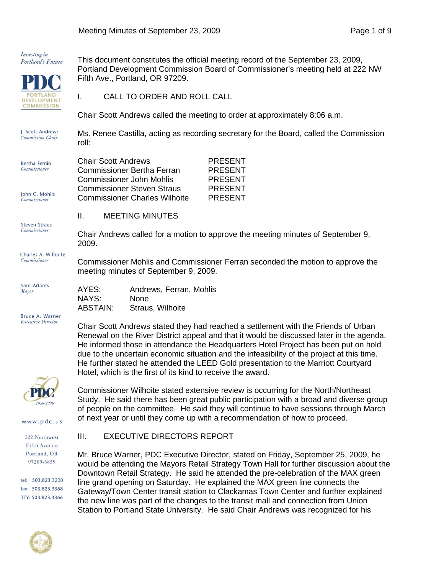

**DEVELOPMENT COMMISSION**  This document constitutes the official meeting record of the September 23, 2009, Portland Development Commission Board of Commissioner's meeting held at 222 NW Fifth Ave., Portland, OR 97209.

I. CALL TO ORDER AND ROLL CALL

Chair Scott Andrews called the meeting to order at approximately 8:06 a.m.

I. Scott Andrews Ms. Renee Castilla, acting as recording secretary for the Board, called the Commission **Commission Chair** roll:

| Bertha Ferrán       | <b>Chair Scott Andrews</b>        | <b>PRESENT</b> |
|---------------------|-----------------------------------|----------------|
| <b>Commissioner</b> | <b>Commissioner Bertha Ferran</b> | PRESENT        |
|                     | Commissioner John Mohlis          | <b>PRESENT</b> |
|                     | <b>Commissioner Steven Straus</b> | <b>PRESENT</b> |
| John C. Mohlis      |                                   |                |

a Ferran PRESENT Mohlis PRESENT<br>n Straus PRESENT **PRESENT** Commissioner Charles Wilhoite PRESENT

Commissioner Mohlis and Commissioner Ferran seconded the motion to approve the

# II. MEETING MINUTES

**Steven Straus Commissioner** Chair Andrews called for a motion to approve the meeting minutes of September 9, 2009.

Charles A. Wilhoite Commissioner

Sam Adams Mayor

**Commissioner** 

AYES: Andrews, Ferran, Mohlis NAYS: None<br>ABSTAIN: Straus Straus, Wilhoite

meeting minutes of September 9, 2009.

Bruce A. Warner **Executive Director** 



www.pdc.us

222 Northwest **Fifth Avenue** Portland, OR 97209-3859

tel: 503,823,3200 fax: 503.823.3368 TTY: 503.823.3366

He informed those in attendance the Headquarters Hotel Project has been put on hold due to the uncertain economic situation and the infeasibility of the project at this time. He further stated he attended the LEED Gold presentation to the Marriott Courtyard Hotel, which is the first of its kind to receive the award.

Chair Scott Andrews stated they had reached a settlement with the Friends of Urban Renewal on the River District appeal and that it would be discussed later in the agenda.

Commissioner Wilhoite stated extensive review is occurring for the North/Northeast Study. He said there has been great public participation with a broad and diverse group of people on the committee. He said they will continue to have sessions through March of next year or until they come up with a recommendation of how to proceed.

## III. EXECUTIVE DIRECTORS REPORT

Mr. Bruce Warner, PDC Executive Director, stated on Friday, September 25, 2009, he would be attending the Mayors Retail Strategy Town Hall for further discussion about the Downtown Retail Strategy. He said he attended the pre-celebration of the MAX green line grand opening on Saturday. He explained the MAX green line connects the Gateway/Town Center transit station to Clackamas Town Center and further explained the new line was part of the changes to the transit mall and connection from Union Station to Portland State University. He said Chair Andrews was recognized for his

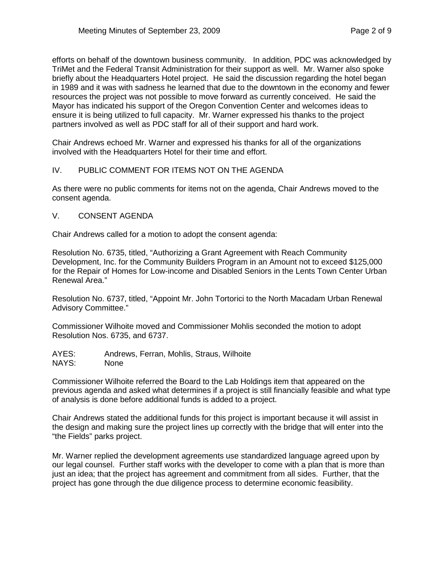efforts on behalf of the downtown business community. In addition, PDC was acknowledged by TriMet and the Federal Transit Administration for their support as well. Mr. Warner also spoke briefly about the Headquarters Hotel project. He said the discussion regarding the hotel began in 1989 and it was with sadness he learned that due to the downtown in the economy and fewer resources the project was not possible to move forward as currently conceived. He said the Mayor has indicated his support of the Oregon Convention Center and welcomes ideas to ensure it is being utilized to full capacity. Mr. Warner expressed his thanks to the project partners involved as well as PDC staff for all of their support and hard work.

Chair Andrews echoed Mr. Warner and expressed his thanks for all of the organizations involved with the Headquarters Hotel for their time and effort.

## IV. PUBLIC COMMENT FOR ITEMS NOT ON THE AGENDA

As there were no public comments for items not on the agenda, Chair Andrews moved to the consent agenda.

### V. CONSENT AGENDA

Chair Andrews called for a motion to adopt the consent agenda:

Resolution No. 6735, titled, "Authorizing a Grant Agreement with Reach Community Development, Inc. for the Community Builders Program in an Amount not to exceed \$125,000 for the Repair of Homes for Low-income and Disabled Seniors in the Lents Town Center Urban Renewal Area."

Resolution No. 6737, titled, "Appoint Mr. John Tortorici to the North Macadam Urban Renewal Advisory Committee."

Commissioner Wilhoite moved and Commissioner Mohlis seconded the motion to adopt Resolution Nos. 6735, and 6737.

AYES: Andrews, Ferran, Mohlis, Straus, Wilhoite NAYS: None

Commissioner Wilhoite referred the Board to the Lab Holdings item that appeared on the previous agenda and asked what determines if a project is still financially feasible and what type of analysis is done before additional funds is added to a project.

Chair Andrews stated the additional funds for this project is important because it will assist in the design and making sure the project lines up correctly with the bridge that will enter into the "the Fields" parks project.

Mr. Warner replied the development agreements use standardized language agreed upon by our legal counsel. Further staff works with the developer to come with a plan that is more than just an idea; that the project has agreement and commitment from all sides. Further, that the project has gone through the due diligence process to determine economic feasibility.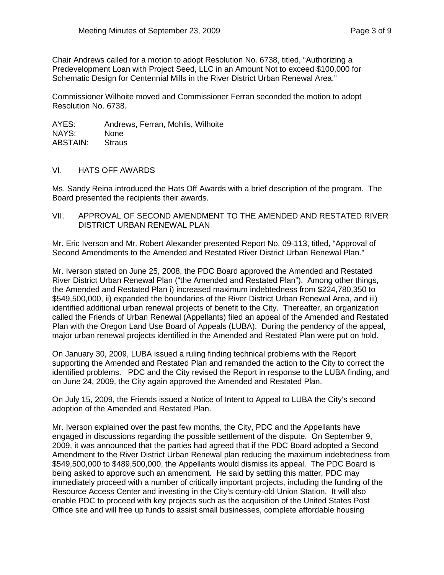Chair Andrews called for a motion to adopt Resolution No. 6738, titled, "Authorizing a Predevelopment Loan with Project Seed, LLC in an Amount Not to exceed \$100,000 for Schematic Design for Centennial Mills in the River District Urban Renewal Area."

Commissioner Wilhoite moved and Commissioner Ferran seconded the motion to adopt Resolution No. 6738.

AYES: Andrews, Ferran, Mohlis, Wilhoite NAYS: None ABSTAIN: Straus

#### VI. HATS OFF AWARDS

Ms. Sandy Reina introduced the Hats Off Awards with a brief description of the program. The Board presented the recipients their awards.

VII. APPROVAL OF SECOND AMENDMENT TO THE AMENDED AND RESTATED RIVER DISTRICT URBAN RENEWAL PLAN

Mr. Eric Iverson and Mr. Robert Alexander presented Report No. 09-113, titled, "Approval of Second Amendments to the Amended and Restated River District Urban Renewal Plan."

Mr. Iverson stated on June 25, 2008, the PDC Board approved the Amended and Restated River District Urban Renewal Plan ("the Amended and Restated Plan"). Among other things, the Amended and Restated Plan i) increased maximum indebtedness from \$224,780,350 to \$549,500,000, ii) expanded the boundaries of the River District Urban Renewal Area, and iii) identified additional urban renewal projects of benefit to the City. Thereafter, an organization called the Friends of Urban Renewal (Appellants) filed an appeal of the Amended and Restated Plan with the Oregon Land Use Board of Appeals (LUBA). During the pendency of the appeal, major urban renewal projects identified in the Amended and Restated Plan were put on hold.

On January 30, 2009, LUBA issued a ruling finding technical problems with the Report supporting the Amended and Restated Plan and remanded the action to the City to correct the identified problems. PDC and the City revised the Report in response to the LUBA finding, and on June 24, 2009, the City again approved the Amended and Restated Plan.

On July 15, 2009, the Friends issued a Notice of Intent to Appeal to LUBA the City's second adoption of the Amended and Restated Plan.

Mr. Iverson explained over the past few months, the City, PDC and the Appellants have engaged in discussions regarding the possible settlement of the dispute. On September 9, 2009, it was announced that the parties had agreed that if the PDC Board adopted a Second Amendment to the River District Urban Renewal plan reducing the maximum indebtedness from \$549,500,000 to \$489,500,000, the Appellants would dismiss its appeal. The PDC Board is being asked to approve such an amendment. He said by settling this matter, PDC may immediately proceed with a number of critically important projects, including the funding of the Resource Access Center and investing in the City's century-old Union Station. It will also enable PDC to proceed with key projects such as the acquisition of the United States Post Office site and will free up funds to assist small businesses, complete affordable housing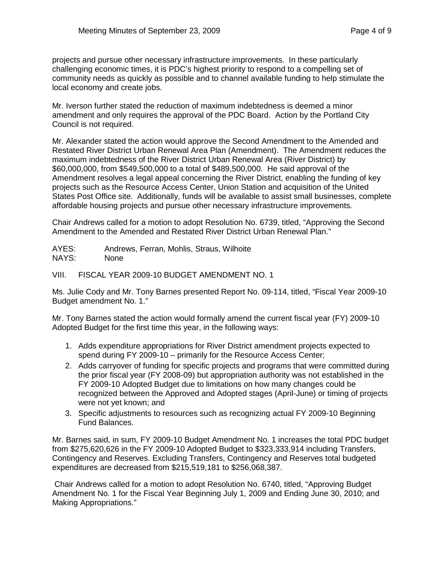projects and pursue other necessary infrastructure improvements. In these particularly challenging economic times, it is PDC's highest priority to respond to a compelling set of community needs as quickly as possible and to channel available funding to help stimulate the local economy and create jobs.

Mr. Iverson further stated the reduction of maximum indebtedness is deemed a minor amendment and only requires the approval of the PDC Board. Action by the Portland City Council is not required.

Mr. Alexander stated the action would approve the Second Amendment to the Amended and Restated River District Urban Renewal Area Plan (Amendment). The Amendment reduces the maximum indebtedness of the River District Urban Renewal Area (River District) by \$60,000,000, from \$549,500,000 to a total of \$489,500,000. He said approval of the Amendment resolves a legal appeal concerning the River District, enabling the funding of key projects such as the Resource Access Center, Union Station and acquisition of the United States Post Office site. Additionally, funds will be available to assist small businesses, complete affordable housing projects and pursue other necessary infrastructure improvements.

Chair Andrews called for a motion to adopt Resolution No. 6739, titled, "Approving the Second Amendment to the Amended and Restated River District Urban Renewal Plan."

AYES: Andrews, Ferran, Mohlis, Straus, Wilhoite NAYS: None

VIII. FISCAL YEAR 2009-10 BUDGET AMENDMENT NO. 1

Ms. Julie Cody and Mr. Tony Barnes presented Report No. 09-114, titled, "Fiscal Year 2009-10 Budget amendment No. 1."

Mr. Tony Barnes stated the action would formally amend the current fiscal year (FY) 2009-10 Adopted Budget for the first time this year, in the following ways:

- 1. Adds expenditure appropriations for River District amendment projects expected to spend during FY 2009-10 – primarily for the Resource Access Center;
- 2. Adds carryover of funding for specific projects and programs that were committed during the prior fiscal year (FY 2008-09) but appropriation authority was not established in the FY 2009-10 Adopted Budget due to limitations on how many changes could be recognized between the Approved and Adopted stages (April-June) or timing of projects were not yet known; and
- 3. Specific adjustments to resources such as recognizing actual FY 2009-10 Beginning Fund Balances.

Mr. Barnes said, in sum, FY 2009-10 Budget Amendment No. 1 increases the total PDC budget from \$275,620,626 in the FY 2009-10 Adopted Budget to \$323,333,914 including Transfers, Contingency and Reserves. Excluding Transfers, Contingency and Reserves total budgeted expenditures are decreased from \$215,519,181 to \$256,068,387.

Chair Andrews called for a motion to adopt Resolution No. 6740, titled, "Approving Budget Amendment No. 1 for the Fiscal Year Beginning July 1, 2009 and Ending June 30, 2010; and Making Appropriations."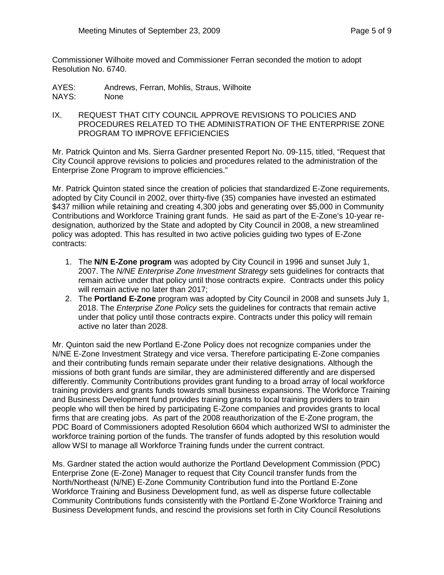Commissioner Wilhoite moved and Commissioner Ferran seconded the motion to adopt Resolution No. 6740.

AYES: Andrews, Ferran, Mohlis, Straus, Wilhoite NAYS: None

IX. REQUEST THAT CITY COUNCIL APPROVE REVISIONS TO POLICIES AND PROCEDURES RELATED TO THE ADMINISTRATION OF THE ENTERPRISE ZONE PROGRAM TO IMPROVE EFFICIENCIES

Mr. Patrick Quinton and Ms. Sierra Gardner presented Report No. 09-115, titled, "Request that City Council approve revisions to policies and procedures related to the administration of the Enterprise Zone Program to improve efficiencies."

Mr. Patrick Quinton stated since the creation of policies that standardized E-Zone requirements, adopted by City Council in 2002, over thirty-five (35) companies have invested an estimated \$437 million while retaining and creating 4,300 jobs and generating over \$5,000 in Community Contributions and Workforce Training grant funds. He said as part of the E-Zone's 10-year redesignation, authorized by the State and adopted by City Council in 2008, a new streamlined policy was adopted. This has resulted in two active policies guiding two types of E-Zone contracts:

- 1. The **N/N E-Zone program** was adopted by City Council in 1996 and sunset July 1, 2007. The *N/NE Enterprise Zone Investment Strategy* sets guidelines for contracts that remain active under that policy until those contracts expire. Contracts under this policy will remain active no later than 2017:
- 2. The **Portland E-Zone** program was adopted by City Council in 2008 and sunsets July 1, 2018. The *Enterprise Zone Policy* sets the guidelines for contracts that remain active under that policy until those contracts expire. Contracts under this policy will remain active no later than 2028.

Mr. Quinton said the new Portland E-Zone Policy does not recognize companies under the N/NE E-Zone Investment Strategy and vice versa. Therefore participating E-Zone companies and their contributing funds remain separate under their relative designations. Although the missions of both grant funds are similar, they are administered differently and are dispersed differently. Community Contributions provides grant funding to a broad array of local workforce training providers and grants funds towards small business expansions. The Workforce Training and Business Development fund provides training grants to local training providers to train people who will then be hired by participating E-Zone companies and provides grants to local firms that are creating jobs. As part of the 2008 reauthorization of the E-Zone program, the PDC Board of Commissioners adopted Resolution 6604 which authorized WSI to administer the workforce training portion of the funds. The transfer of funds adopted by this resolution would allow WSI to manage all Workforce Training funds under the current contract.

Ms. Gardner stated the action would authorize the Portland Development Commission (PDC) Enterprise Zone (E-Zone) Manager to request that City Council transfer funds from the North/Northeast (N/NE) E-Zone Community Contribution fund into the Portland E-Zone Workforce Training and Business Development fund, as well as disperse future collectable Community Contributions funds consistently with the Portland E-Zone Workforce Training and Business Development funds, and rescind the provisions set forth in City Council Resolutions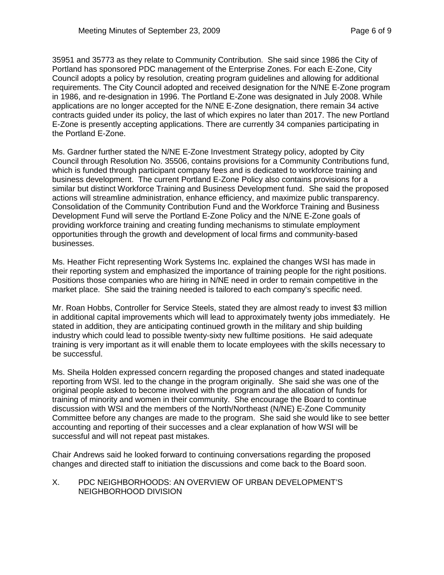35951 and 35773 as they relate to Community Contribution. She said since 1986 the City of Portland has sponsored PDC management of the Enterprise Zones. For each E-Zone, City Council adopts a policy by resolution, creating program guidelines and allowing for additional requirements. The City Council adopted and received designation for the N/NE E-Zone program in 1986, and re-designation in 1996. The Portland E-Zone was designated in July 2008. While applications are no longer accepted for the N/NE E-Zone designation, there remain 34 active contracts guided under its policy, the last of which expires no later than 2017. The new Portland E-Zone is presently accepting applications. There are currently 34 companies participating in the Portland E-Zone.

Ms. Gardner further stated the N/NE E-Zone Investment Strategy policy, adopted by City Council through Resolution No. 35506, contains provisions for a Community Contributions fund, which is funded through participant company fees and is dedicated to workforce training and business development. The current Portland E-Zone Policy also contains provisions for a similar but distinct Workforce Training and Business Development fund. She said the proposed actions will streamline administration, enhance efficiency, and maximize public transparency. Consolidation of the Community Contribution Fund and the Workforce Training and Business Development Fund will serve the Portland E-Zone Policy and the N/NE E-Zone goals of providing workforce training and creating funding mechanisms to stimulate employment opportunities through the growth and development of local firms and community-based businesses.

Ms. Heather Ficht representing Work Systems Inc. explained the changes WSI has made in their reporting system and emphasized the importance of training people for the right positions. Positions those companies who are hiring in N/NE need in order to remain competitive in the market place. She said the training needed is tailored to each company's specific need.

Mr. Roan Hobbs, Controller for Service Steels, stated they are almost ready to invest \$3 million in additional capital improvements which will lead to approximately twenty jobs immediately. He stated in addition, they are anticipating continued growth in the military and ship building industry which could lead to possible twenty-sixty new fulltime positions. He said adequate training is very important as it will enable them to locate employees with the skills necessary to be successful.

Ms. Sheila Holden expressed concern regarding the proposed changes and stated inadequate reporting from WSI. led to the change in the program originally. She said she was one of the original people asked to become involved with the program and the allocation of funds for training of minority and women in their community. She encourage the Board to continue discussion with WSI and the members of the North/Northeast (N/NE) E-Zone Community Committee before any changes are made to the program. She said she would like to see better accounting and reporting of their successes and a clear explanation of how WSI will be successful and will not repeat past mistakes.

Chair Andrews said he looked forward to continuing conversations regarding the proposed changes and directed staff to initiation the discussions and come back to the Board soon.

### X. PDC NEIGHBORHOODS: AN OVERVIEW OF URBAN DEVELOPMENT'S NEIGHBORHOOD DIVISION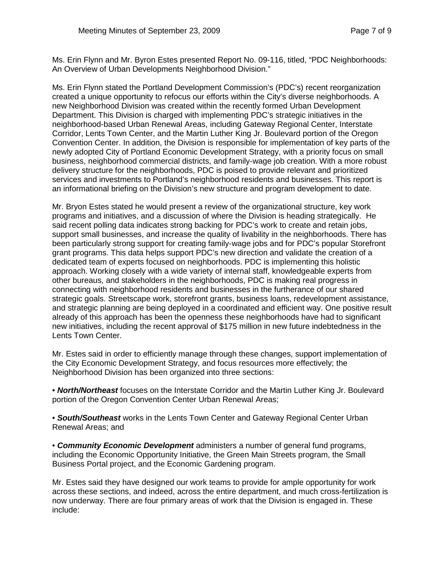Ms. Erin Flynn and Mr. Byron Estes presented Report No. 09-116, titled, "PDC Neighborhoods: An Overview of Urban Developments Neighborhood Division."

Ms. Erin Flynn stated the Portland Development Commission's (PDC's) recent reorganization created a unique opportunity to refocus our efforts within the City's diverse neighborhoods. A new Neighborhood Division was created within the recently formed Urban Development Department. This Division is charged with implementing PDC's strategic initiatives in the neighborhood-based Urban Renewal Areas, including Gateway Regional Center, Interstate Corridor, Lents Town Center, and the Martin Luther King Jr. Boulevard portion of the Oregon Convention Center. In addition, the Division is responsible for implementation of key parts of the newly adopted City of Portland Economic Development Strategy, with a priority focus on small business, neighborhood commercial districts, and family-wage job creation. With a more robust delivery structure for the neighborhoods, PDC is poised to provide relevant and prioritized services and investments to Portland's neighborhood residents and businesses. This report is an informational briefing on the Division's new structure and program development to date.

Mr. Bryon Estes stated he would present a review of the organizational structure, key work programs and initiatives, and a discussion of where the Division is heading strategically. He said recent polling data indicates strong backing for PDC's work to create and retain jobs, support small businesses, and increase the quality of livability in the neighborhoods. There has been particularly strong support for creating family-wage jobs and for PDC's popular Storefront grant programs. This data helps support PDC's new direction and validate the creation of a dedicated team of experts focused on neighborhoods. PDC is implementing this holistic approach. Working closely with a wide variety of internal staff, knowledgeable experts from other bureaus, and stakeholders in the neighborhoods, PDC is making real progress in connecting with neighborhood residents and businesses in the furtherance of our shared strategic goals. Streetscape work, storefront grants, business loans, redevelopment assistance, and strategic planning are being deployed in a coordinated and efficient way. One positive result already of this approach has been the openness these neighborhoods have had to significant new initiatives, including the recent approval of \$175 million in new future indebtedness in the Lents Town Center.

Mr. Estes said in order to efficiently manage through these changes, support implementation of the City Economic Development Strategy, and focus resources more effectively; the Neighborhood Division has been organized into three sections:

• *North/Northeast* focuses on the Interstate Corridor and the Martin Luther King Jr. Boulevard portion of the Oregon Convention Center Urban Renewal Areas;

• *South/Southeast* works in the Lents Town Center and Gateway Regional Center Urban Renewal Areas; and

• *Community Economic Development* administers a number of general fund programs, including the Economic Opportunity Initiative, the Green Main Streets program, the Small Business Portal project, and the Economic Gardening program.

Mr. Estes said they have designed our work teams to provide for ample opportunity for work across these sections, and indeed, across the entire department, and much cross-fertilization is now underway. There are four primary areas of work that the Division is engaged in. These include: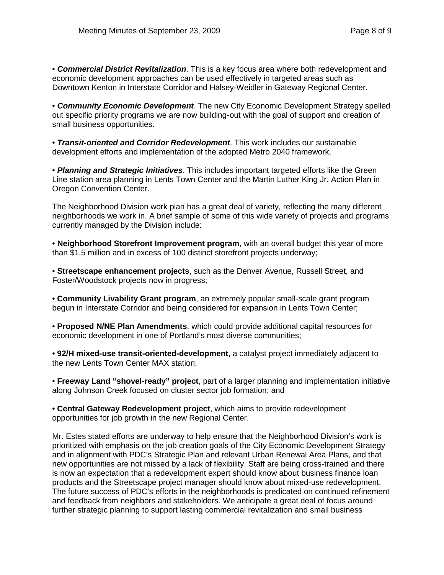• *Commercial District Revitalization*. This is a key focus area where both redevelopment and economic development approaches can be used effectively in targeted areas such as Downtown Kenton in Interstate Corridor and Halsey-Weidler in Gateway Regional Center.

• *Community Economic Development*. The new City Economic Development Strategy spelled out specific priority programs we are now building-out with the goal of support and creation of small business opportunities.

• *Transit-oriented and Corridor Redevelopment*. This work includes our sustainable development efforts and implementation of the adopted Metro 2040 framework.

• *Planning and Strategic Initiatives*. This includes important targeted efforts like the Green Line station area planning in Lents Town Center and the Martin Luther King Jr. Action Plan in Oregon Convention Center.

The Neighborhood Division work plan has a great deal of variety, reflecting the many different neighborhoods we work in. A brief sample of some of this wide variety of projects and programs currently managed by the Division include:

• **Neighborhood Storefront Improvement program**, with an overall budget this year of more than \$1.5 million and in excess of 100 distinct storefront projects underway;

• **Streetscape enhancement projects**, such as the Denver Avenue, Russell Street, and Foster/Woodstock projects now in progress;

• **Community Livability Grant program**, an extremely popular small-scale grant program begun in Interstate Corridor and being considered for expansion in Lents Town Center;

• **Proposed N/NE Plan Amendments**, which could provide additional capital resources for economic development in one of Portland's most diverse communities;

• **92/H mixed-use transit-oriented-development**, a catalyst project immediately adjacent to the new Lents Town Center MAX station;

• **Freeway Land "shovel-ready" project**, part of a larger planning and implementation initiative along Johnson Creek focused on cluster sector job formation; and

• **Central Gateway Redevelopment project**, which aims to provide redevelopment opportunities for job growth in the new Regional Center.

Mr. Estes stated efforts are underway to help ensure that the Neighborhood Division's work is prioritized with emphasis on the job creation goals of the City Economic Development Strategy and in alignment with PDC's Strategic Plan and relevant Urban Renewal Area Plans, and that new opportunities are not missed by a lack of flexibility. Staff are being cross-trained and there is now an expectation that a redevelopment expert should know about business finance loan products and the Streetscape project manager should know about mixed-use redevelopment. The future success of PDC's efforts in the neighborhoods is predicated on continued refinement and feedback from neighbors and stakeholders. We anticipate a great deal of focus around further strategic planning to support lasting commercial revitalization and small business